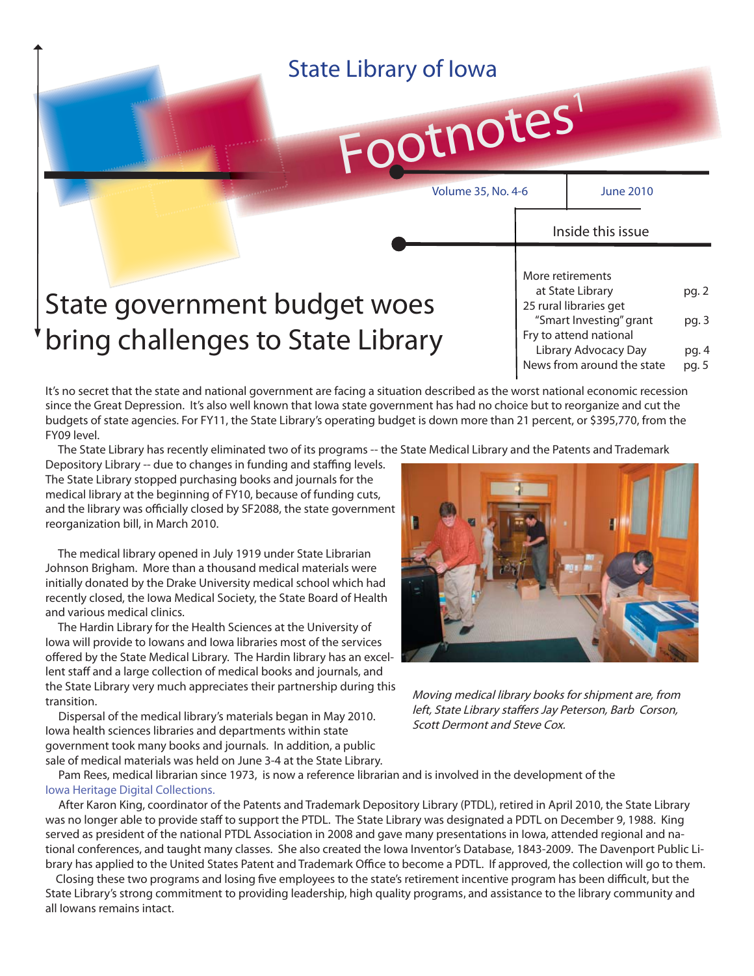| <b>State Library of Iowa</b><br>Footnotes                         |                  |                                                                                                                                                       |                                  |
|-------------------------------------------------------------------|------------------|-------------------------------------------------------------------------------------------------------------------------------------------------------|----------------------------------|
| <b>Volume 35, No. 4-6</b>                                         |                  | <b>June 2010</b><br>Inside this issue                                                                                                                 |                                  |
| State government budget woes<br>bring challenges to State Library | More retirements | at State Library<br>25 rural libraries get<br>"Smart Investing" grant<br>Fry to attend national<br>Library Advocacy Day<br>News from around the state | pg. 2<br>pg. 3<br>pg. 4<br>pg. 5 |

It's no secret that the state and national government are facing a situation described as the worst national economic recession since the Great Depression. It's also well known that Iowa state government has had no choice but to reorganize and cut the budgets of state agencies. For FY11, the State Library's operating budget is down more than 21 percent, or \$395,770, from the FY09 level.

The State Library has recently eliminated two of its programs -- the State Medical Library and the Patents and Trademark

Depository Library -- due to changes in funding and staffing levels. The State Library stopped purchasing books and journals for the medical library at the beginning of FY10, because of funding cuts, and the library was officially closed by SF2088, the state government reorganization bill, in March 2010.

 The medical library opened in July 1919 under State Librarian Johnson Brigham. More than a thousand medical materials were initially donated by the Drake University medical school which had recently closed, the Iowa Medical Society, the State Board of Health and various medical clinics.

 The Hardin Library for the Health Sciences at the University of Iowa will provide to Iowans and Iowa libraries most of the services offered by the State Medical Library. The Hardin library has an excellent staff and a large collection of medical books and journals, and the State Library very much appreciates their partnership during this transition.

 Dispersal of the medical library's materials began in May 2010. Iowa health sciences libraries and departments within state government took many books and journals. In addition, a public sale of medical materials was held on June 3-4 at the State Library.



Moving medical library books for shipment are, from left, State Library staffers Jay Peterson, Barb Corson, Scott Dermont and Steve Cox.

 Pam Rees, medical librarian since 1973, is now a reference librarian and is involved in the development of the [Iowa Heritage Digital Collections.](http://www.iowaheritage.org/)

 After Karon King, coordinator of the Patents and Trademark Depository Library (PTDL), retired in April 2010, the State Library was no longer able to provide staff to support the PTDL. The State Library was designated a PDTL on December 9, 1988. King served as president of the national PTDL Association in 2008 and gave many presentations in Iowa, attended regional and national conferences, and taught many classes. She also created the Iowa Inventor's Database, 1843-2009. The Davenport Public Library has applied to the United States Patent and Trademark Office to become a PDTL. If approved, the collection will go to them.

Closing these two programs and losing five employees to the state's retirement incentive program has been difficult, but the State Library's strong commitment to providing leadership, high quality programs, and assistance to the library community and all Iowans remains intact.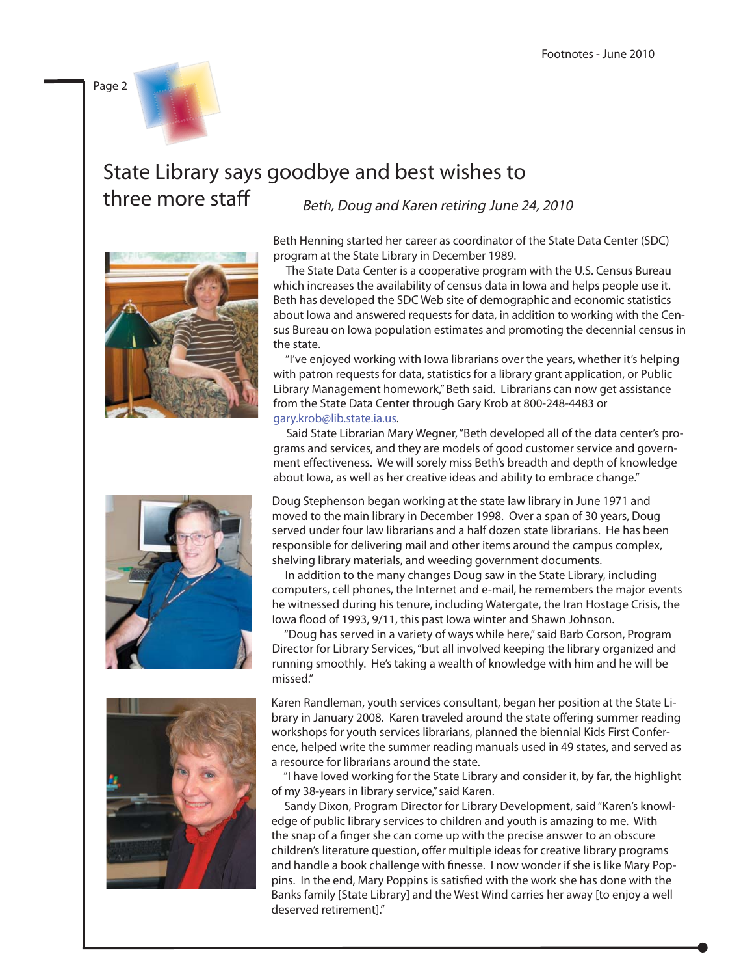

#### State Library says goodbye and best wishes to three more staff Beth, Doug and Karen retiring June 24, 2010





Beth Henning started her career as coordinator of the State Data Center (SDC) program at the State Library in December 1989.

 The State Data Center is a cooperative program with the U.S. Census Bureau which increases the availability of census data in Iowa and helps people use it. Beth has developed the SDC Web site of demographic and economic statistics about Iowa and answered requests for data, in addition to working with the Census Bureau on Iowa population estimates and promoting the decennial census in the state.

 "I've enjoyed working with Iowa librarians over the years, whether it's helping with patron requests for data, statistics for a library grant application, or Public Library Management homework," Beth said. Librarians can now get assistance from the State Data Center through Gary Krob at 800-248-4483 or [gary.krob@lib.state.ia.us.](mailto:gary.krob@lib.state.ia.us) 

 Said State Librarian Mary Wegner, "Beth developed all of the data center's programs and services, and they are models of good customer service and government effectiveness. We will sorely miss Beth's breadth and depth of knowledge about Iowa, as well as her creative ideas and ability to embrace change."

Doug Stephenson began working at the state law library in June 1971 and moved to the main library in December 1998. Over a span of 30 years, Doug served under four law librarians and a half dozen state librarians. He has been responsible for delivering mail and other items around the campus complex, shelving library materials, and weeding government documents.

 In addition to the many changes Doug saw in the State Library, including computers, cell phones, the Internet and e-mail, he remembers the major events he witnessed during his tenure, including Watergate, the Iran Hostage Crisis, the lowa flood of 1993, 9/11, this past lowa winter and Shawn Johnson.

 "Doug has served in a variety of ways while here," said Barb Corson, Program Director for Library Services, "but all involved keeping the library organized and running smoothly. He's taking a wealth of knowledge with him and he will be missed."

Karen Randleman, youth services consultant, began her position at the State Library in January 2008. Karen traveled around the state offering summer reading workshops for youth services librarians, planned the biennial Kids First Conference, helped write the summer reading manuals used in 49 states, and served as a resource for librarians around the state.

 "I have loved working for the State Library and consider it, by far, the highlight of my 38-years in library service," said Karen.

 Sandy Dixon, Program Director for Library Development, said "Karen's knowledge of public library services to children and youth is amazing to me. With the snap of a finger she can come up with the precise answer to an obscure children's literature question, offer multiple ideas for creative library programs and handle a book challenge with finesse. I now wonder if she is like Mary Poppins. In the end, Mary Poppins is satisfied with the work she has done with the Banks family [State Library] and the West Wind carries her away [to enjoy a well deserved retirement]."

Page 2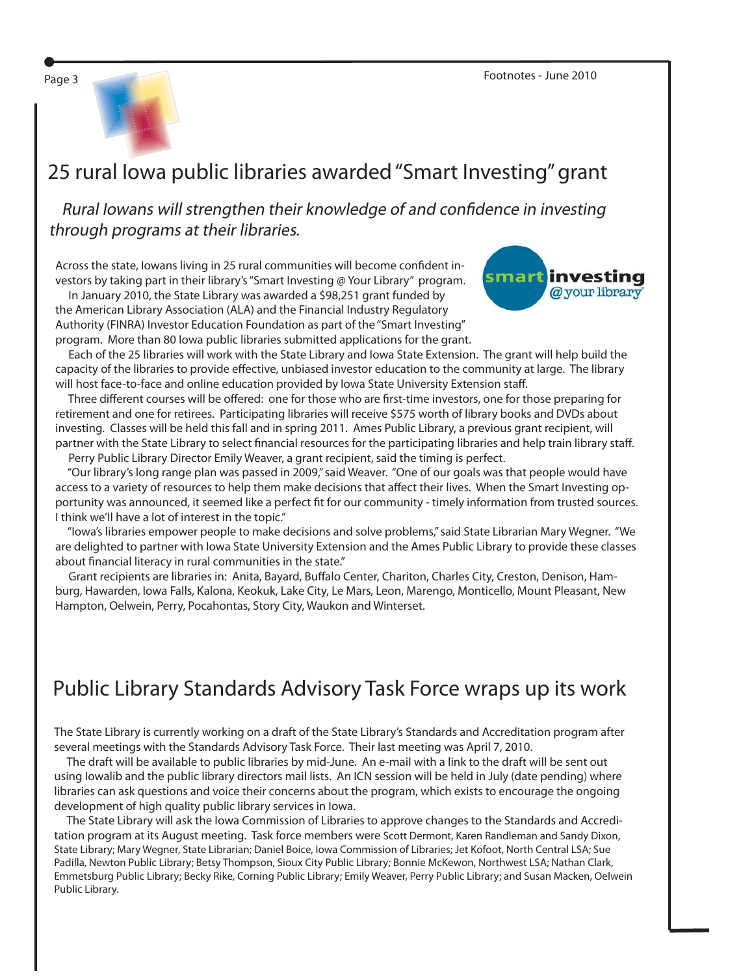Page 3 Footnotes - June 2010





## 25 rural Iowa public libraries awarded "Smart Investing" grant

Rural Iowans will strengthen their knowledge of and confidence in investing through programs at their libraries.

Across the state, Iowans living in 25 rural communities will become confident investors by taking part in their library's "Smart Investing @ Your Library" program.

 In January 2010, the State Library was awarded a \$98,251 grant funded by the American Library Association (ALA) and the Financial Industry Regulatory Authority (FINRA) Investor Education Foundation as part of the "Smart Investing" program. More than 80 Iowa public libraries submitted applications for the grant.



 Each of the 25 libraries will work with the State Library and Iowa State Extension. The grant will help build the capacity of the libraries to provide effective, unbiased investor education to the community at large. The library will host face-to-face and online education provided by Iowa State University Extension staff.

Three different courses will be offered: one for those who are first-time investors, one for those preparing for retirement and one for retirees. Participating libraries will receive \$575 worth of library books and DVDs about investing. Classes will be held this fall and in spring 2011. Ames Public Library, a previous grant recipient, will partner with the State Library to select financial resources for the participating libraries and help train library staff.

Perry Public Library Director Emily Weaver, a grant recipient, said the timing is perfect.

 "Our library's long range plan was passed in 2009," said Weaver. "One of our goals was that people would have access to a variety of resources to help them make decisions that affect their lives. When the Smart Investing opportunity was announced, it seemed like a perfect fit for our community - timely information from trusted sources. I think we'll have a lot of interest in the topic."

 "Iowa's libraries empower people to make decisions and solve problems," said State Librarian Mary Wegner. "We are delighted to partner with Iowa State University Extension and the Ames Public Library to provide these classes about financial literacy in rural communities in the state."

Grant recipients are libraries in: Anita, Bayard, Buffalo Center, Chariton, Charles City, Creston, Denison, Hamburg, Hawarden, Iowa Falls, Kalona, Keokuk, Lake City, Le Mars, Leon, Marengo, Monticello, Mount Pleasant, New Hampton, Oelwein, Perry, Pocahontas, Story City, Waukon and Winterset.

# Public Library Standards Advisory Task Force wraps up its work

The State Library is currently working on a draft of the State Library's Standards and Accreditation program after several meetings with the Standards Advisory Task Force. Their last meeting was April 7, 2010.

 The draft will be available to public libraries by mid-June. An e-mail with a link to the draft will be sent out using Iowalib and the public library directors mail lists. An ICN session will be held in July (date pending) where libraries can ask questions and voice their concerns about the program, which exists to encourage the ongoing development of high quality public library services in Iowa.

 The State Library will ask the Iowa Commission of Libraries to approve changes to the Standards and Accreditation program at its August meeting. Task force members were Scott Dermont, Karen Randleman and Sandy Dixon, State Library; Mary Wegner, State Librarian; Daniel Boice, Iowa Commission of Libraries; Jet Kofoot, North Central LSA; Sue Padilla, Newton Public Library; Betsy Thompson, Sioux City Public Library; Bonnie McKewon, Northwest LSA; Nathan Clark, Emmetsburg Public Library; Becky Rike, Corning Public Library; Emily Weaver, Perry Public Library; and Susan Macken, Oelwein Public Library.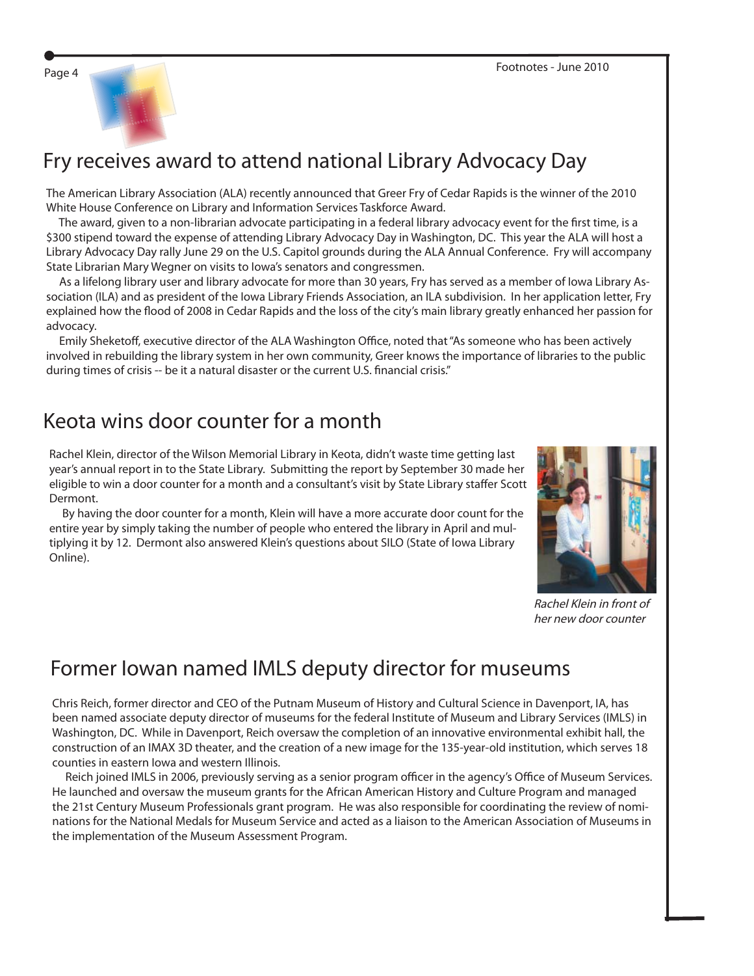

# Fry receives award to attend national Library Advocacy Day

The American Library Association (ALA) recently announced that Greer Fry of Cedar Rapids is the winner of the 2010 White House Conference on Library and Information Services Taskforce Award.

The award, given to a non-librarian advocate participating in a federal library advocacy event for the first time, is a \$300 stipend toward the expense of attending Library Advocacy Day in Washington, DC. This year the ALA will host a Library Advocacy Day rally June 29 on the U.S. Capitol grounds during the ALA Annual Conference. Fry will accompany State Librarian Mary Wegner on visits to Iowa's senators and congressmen.

 As a lifelong library user and library advocate for more than 30 years, Fry has served as a member of Iowa Library Association (ILA) and as president of the Iowa Library Friends Association, an ILA subdivision. In her application letter, Fry explained how the flood of 2008 in Cedar Rapids and the loss of the city's main library greatly enhanced her passion for advocacy.

Emily Sheketoff, executive director of the ALA Washington Office, noted that "As someone who has been actively involved in rebuilding the library system in her own community, Greer knows the importance of libraries to the public during times of crisis -- be it a natural disaster or the current U.S. financial crisis."

### Keota wins door counter for a month

Rachel Klein, director of the Wilson Memorial Library in Keota, didn't waste time getting last year's annual report in to the State Library. Submitting the report by September 30 made her eligible to win a door counter for a month and a consultant's visit by State Library staffer Scott Dermont.

 By having the door counter for a month, Klein will have a more accurate door count for the entire year by simply taking the number of people who entered the library in April and multiplying it by 12. Dermont also answered Klein's questions about SILO (State of Iowa Library Online).



Rachel Klein in front of her new door counter

## Former Iowan named IMLS deputy director for museums

Chris Reich, former director and CEO of the Putnam Museum of History and Cultural Science in Davenport, IA, has been named associate deputy director of museums for the federal Institute of Museum and Library Services (IMLS) in Washington, DC. While in Davenport, Reich oversaw the completion of an innovative environmental exhibit hall, the construction of an IMAX 3D theater, and the creation of a new image for the 135-year-old institution, which serves 18 counties in eastern Iowa and western Illinois.

Reich joined IMLS in 2006, previously serving as a senior program officer in the agency's Office of Museum Services. He launched and oversaw the museum grants for the African American History and Culture Program and managed the 21st Century Museum Professionals grant program. He was also responsible for coordinating the review of nominations for the National Medals for Museum Service and acted as a liaison to the American Association of Museums in the implementation of the Museum Assessment Program.